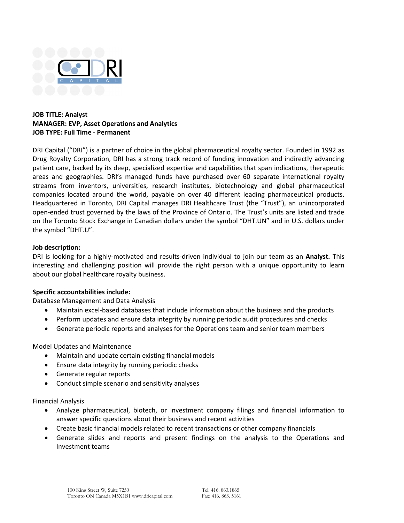

## **JOB TITLE: Analyst MANAGER: EVP, Asset Operations and Analytics JOB TYPE: Full Time - Permanent**

DRI Capital ("DRI") is a partner of choice in the global pharmaceutical royalty sector. Founded in 1992 as Drug Royalty Corporation, DRI has a strong track record of funding innovation and indirectly advancing patient care, backed by its deep, specialized expertise and capabilities that span indications, therapeutic areas and geographies. DRI's managed funds have purchased over 60 separate international royalty streams from inventors, universities, research institutes, biotechnology and global pharmaceutical companies located around the world, payable on over 40 different leading pharmaceutical products. Headquartered in Toronto, DRI Capital manages DRI Healthcare Trust (the "Trust"), an unincorporated open-ended trust governed by the laws of the Province of Ontario. The Trust's units are listed and trade on the Toronto Stock Exchange in Canadian dollars under the symbol "DHT.UN" and in U.S. dollars under the symbol "DHT.U".

## **Job description:**

DRI is looking for a highly-motivated and results-driven individual to join our team as an **Analyst.** This interesting and challenging position will provide the right person with a unique opportunity to learn about our global healthcare royalty business.

## **Specific accountabilities include:**

Database Management and Data Analysis

- Maintain excel-based databases that include information about the business and the products
- Perform updates and ensure data integrity by running periodic audit procedures and checks
- Generate periodic reports and analyses for the Operations team and senior team members

Model Updates and Maintenance

- Maintain and update certain existing financial models
- Ensure data integrity by running periodic checks
- Generate regular reports
- Conduct simple scenario and sensitivity analyses

Financial Analysis

- Analyze pharmaceutical, biotech, or investment company filings and financial information to answer specific questions about their business and recent activities
- Create basic financial models related to recent transactions or other company financials
- Generate slides and reports and present findings on the analysis to the Operations and Investment teams